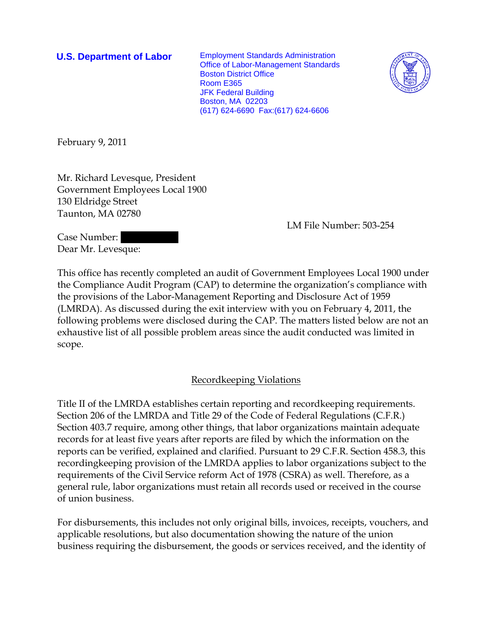**U.S. Department of Labor** Employment Standards Administration Office of Labor-Management Standards Boston District Office Room E365 JFK Federal Building Boston, MA 02203 (617) 624-6690 Fax:(617) 624-6606



February 9, 2011

Mr. Richard Levesque, President Government Employees Local 1900 130 Eldridge Street Taunton, MA 02780

LM File Number: 503-254

Case Number: Dear Mr. Levesque:

This office has recently completed an audit of Government Employees Local 1900 under the Compliance Audit Program (CAP) to determine the organization's compliance with the provisions of the Labor-Management Reporting and Disclosure Act of 1959 (LMRDA). As discussed during the exit interview with you on February 4, 2011, the following problems were disclosed during the CAP. The matters listed below are not an exhaustive list of all possible problem areas since the audit conducted was limited in scope.

Recordkeeping Violations

Title II of the LMRDA establishes certain reporting and recordkeeping requirements. Section 206 of the LMRDA and Title 29 of the Code of Federal Regulations (C.F.R.) Section 403.7 require, among other things, that labor organizations maintain adequate records for at least five years after reports are filed by which the information on the reports can be verified, explained and clarified. Pursuant to 29 C.F.R. Section 458.3, this recordingkeeping provision of the LMRDA applies to labor organizations subject to the requirements of the Civil Service reform Act of 1978 (CSRA) as well. Therefore, as a general rule, labor organizations must retain all records used or received in the course of union business.

For disbursements, this includes not only original bills, invoices, receipts, vouchers, and applicable resolutions, but also documentation showing the nature of the union business requiring the disbursement, the goods or services received, and the identity of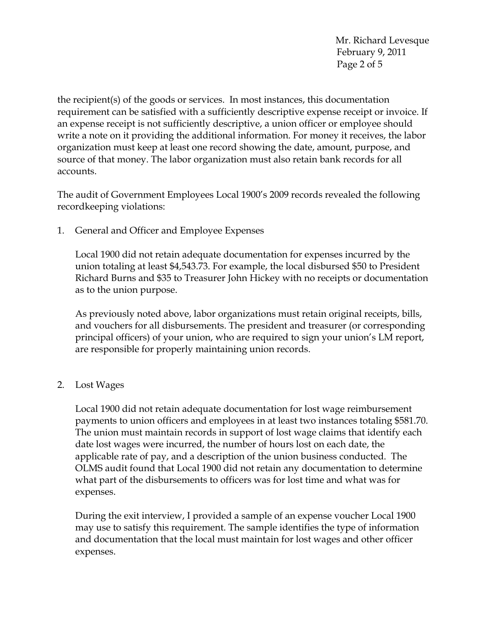Mr. Richard Levesque February 9, 2011 Page 2 of 5

the recipient(s) of the goods or services. In most instances, this documentation requirement can be satisfied with a sufficiently descriptive expense receipt or invoice. If an expense receipt is not sufficiently descriptive, a union officer or employee should write a note on it providing the additional information. For money it receives, the labor organization must keep at least one record showing the date, amount, purpose, and source of that money. The labor organization must also retain bank records for all accounts.

The audit of Government Employees Local 1900's 2009 records revealed the following recordkeeping violations:

1. General and Officer and Employee Expenses

Local 1900 did not retain adequate documentation for expenses incurred by the union totaling at least \$4,543.73. For example, the local disbursed \$50 to President Richard Burns and \$35 to Treasurer John Hickey with no receipts or documentation as to the union purpose.

As previously noted above, labor organizations must retain original receipts, bills, and vouchers for all disbursements. The president and treasurer (or corresponding principal officers) of your union, who are required to sign your union's LM report, are responsible for properly maintaining union records.

## 2. Lost Wages

Local 1900 did not retain adequate documentation for lost wage reimbursement payments to union officers and employees in at least two instances totaling \$581.70. The union must maintain records in support of lost wage claims that identify each date lost wages were incurred, the number of hours lost on each date, the applicable rate of pay, and a description of the union business conducted. The OLMS audit found that Local 1900 did not retain any documentation to determine what part of the disbursements to officers was for lost time and what was for expenses.

During the exit interview, I provided a sample of an expense voucher Local 1900 may use to satisfy this requirement. The sample identifies the type of information and documentation that the local must maintain for lost wages and other officer expenses.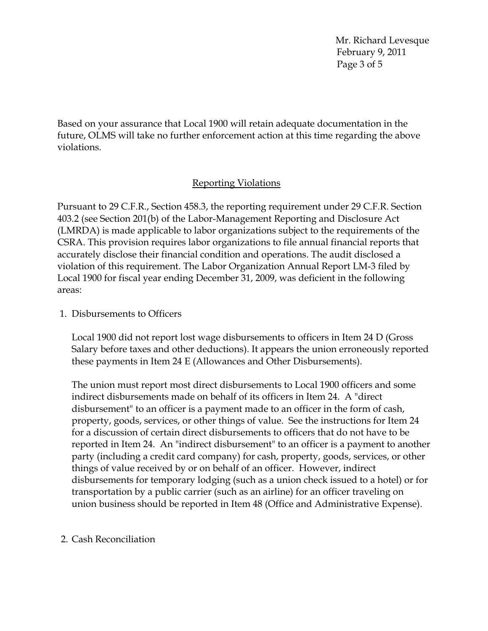Mr. Richard Levesque February 9, 2011 Page 3 of 5

Based on your assurance that Local 1900 will retain adequate documentation in the future, OLMS will take no further enforcement action at this time regarding the above violations.

## Reporting Violations

Pursuant to 29 C.F.R., Section 458.3, the reporting requirement under 29 C.F.R. Section 403.2 (see Section 201(b) of the Labor-Management Reporting and Disclosure Act (LMRDA) is made applicable to labor organizations subject to the requirements of the CSRA. This provision requires labor organizations to file annual financial reports that accurately disclose their financial condition and operations. The audit disclosed a violation of this requirement. The Labor Organization Annual Report LM-3 filed by Local 1900 for fiscal year ending December 31, 2009, was deficient in the following areas:

1. Disbursements to Officers

Local 1900 did not report lost wage disbursements to officers in Item 24 D (Gross Salary before taxes and other deductions). It appears the union erroneously reported these payments in Item 24 E (Allowances and Other Disbursements).

The union must report most direct disbursements to Local 1900 officers and some indirect disbursements made on behalf of its officers in Item 24. A "direct disbursement" to an officer is a payment made to an officer in the form of cash, property, goods, services, or other things of value. See the instructions for Item 24 for a discussion of certain direct disbursements to officers that do not have to be reported in Item 24. An "indirect disbursement" to an officer is a payment to another party (including a credit card company) for cash, property, goods, services, or other things of value received by or on behalf of an officer. However, indirect disbursements for temporary lodging (such as a union check issued to a hotel) or for transportation by a public carrier (such as an airline) for an officer traveling on union business should be reported in Item 48 (Office and Administrative Expense).

## 2. Cash Reconciliation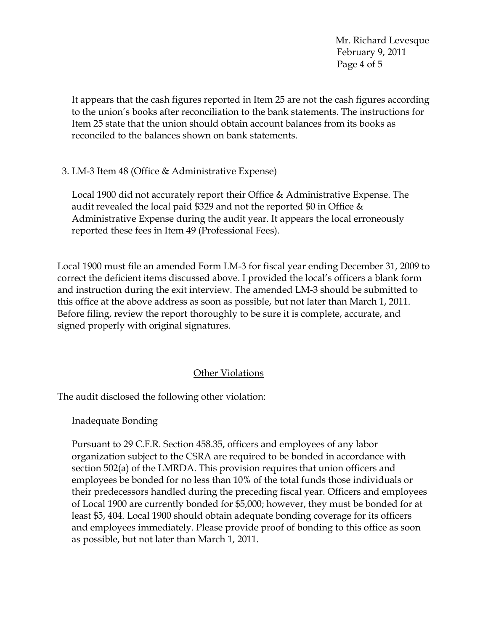Mr. Richard Levesque February 9, 2011 Page 4 of 5

It appears that the cash figures reported in Item 25 are not the cash figures according to the union's books after reconciliation to the bank statements. The instructions for Item 25 state that the union should obtain account balances from its books as reconciled to the balances shown on bank statements.

3. LM-3 Item 48 (Office & Administrative Expense)

Local 1900 did not accurately report their Office & Administrative Expense. The audit revealed the local paid \$329 and not the reported \$0 in Office  $\&$ Administrative Expense during the audit year. It appears the local erroneously reported these fees in Item 49 (Professional Fees).

Local 1900 must file an amended Form LM-3 for fiscal year ending December 31, 2009 to correct the deficient items discussed above. I provided the local's officers a blank form and instruction during the exit interview. The amended LM-3 should be submitted to this office at the above address as soon as possible, but not later than March 1, 2011. Before filing, review the report thoroughly to be sure it is complete, accurate, and signed properly with original signatures.

## **Other Violations**

The audit disclosed the following other violation:

Inadequate Bonding

 Pursuant to 29 C.F.R. Section 458.35, officers and employees of any labor organization subject to the CSRA are required to be bonded in accordance with section 502(a) of the LMRDA. This provision requires that union officers and employees be bonded for no less than 10% of the total funds those individuals or their predecessors handled during the preceding fiscal year. Officers and employees of Local 1900 are currently bonded for \$5,000; however, they must be bonded for at least \$5, 404. Local 1900 should obtain adequate bonding coverage for its officers and employees immediately. Please provide proof of bonding to this office as soon as possible, but not later than March 1, 2011.